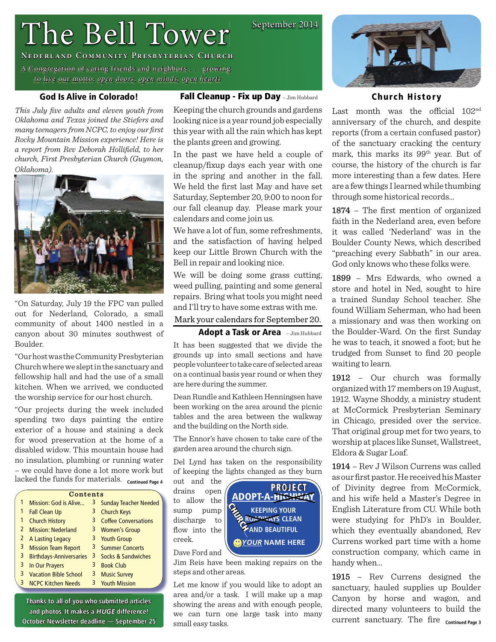# The Bell Tower

## NEDERLAND COMMUNITY PRESBYTERIAN CHURCH

A Congregation of caring friends and neighbors . . . growing to live our motto: open doors, open minds, open hearts

## **God Is Alive in Colorado!**

This July five adults and eleven youth from Oklahoma and Texas joined the Stiefers and many teenagers from NCPC, to enjoy our first Rocky Mountain Mission experience! Here is a report from Rev Deborah Hollifield, to her church, First Presbyterian Church (Guymon, Oklahoma).



"On Saturday, July 19 the FPC van pulled out for Nederland, Colorado, a small community of about 1400 nestled in a canyon about 30 minutes southwest of Boulder.

"Our host was the Community Presbyterian Church where we slept in the sanctuary and fellowship hall and had the use of a small kitchen. When we arrived, we conducted the worship service for our host church.

"Our projects during the week included spending two days painting the entire exterior of a house and staining a deck for wood preservation at the home of a disabled widow. This mountain house had no insulation, plumbing or running water - we could have done a lot more work but lacked the funds for materials. Continued Page 4

|   | Contents                       |   |                              |  |
|---|--------------------------------|---|------------------------------|--|
| 1 | Mission: God is Alive          | 3 | <b>Sunday Teacher Needed</b> |  |
| 1 | <b>Fall Clean Up</b>           | 3 | <b>Church Keys</b>           |  |
| 1 | <b>Church History</b>          | 3 | <b>Coffee Conversations</b>  |  |
| 2 | <b>Mission: Nederland</b>      | 3 | <b>Women's Group</b>         |  |
| 2 | A Lasting Legacy               |   | 3 Youth Group                |  |
| 3 | <b>Mission Team Report</b>     | 3 | <b>Summer Concerts</b>       |  |
| 3 | <b>Birthdays-Anniversaries</b> | 3 | Socks & Sandwiches           |  |
| 3 | In Our Prayers                 | 3 | <b>Book Club</b>             |  |
| 3 | <b>Vacation Bible School</b>   | 3 | <b>Music Survey</b>          |  |
| 3 | <b>NCPC Kitchen Needs</b>      | 3 | <b>Youth Mission</b>         |  |
|   |                                |   |                              |  |

Thanks to all of you who submitted articles and photos. It makes a HUGE difference! October Newsletter deadline - September 25 Fall Cleanup - Fix up Day - Jim Hubbard

September 2014

Keeping the church grounds and gardens looking nice is a year round job especially this year with all the rain which has kept the plants green and growing.

In the past we have held a couple of cleanup/fixup days each year with one in the spring and another in the fall. We held the first last May and have set Saturday, September 20, 9:00 to noon for our fall cleanup day. Please mark your calendars and come join us.

We have a lot of fun, some refreshments, and the satisfaction of having helped keep our Little Brown Church with the Bell in repair and looking nice.

We will be doing some grass cutting, weed pulling, painting and some general repairs. Bring what tools you might need and I'll try to have some extras with me.

Mark your calendars for September 20.

## **Adopt a Task or Area** - Jim Hubbard It has been suggested that we divide the grounds up into small sections and have people volunteer to take care of selected areas on a continual basis year round or when they are here during the summer.

Dean Rundle and Kathleen Henningsen have been working on the area around the picnic tables and the area between the walkway and the building on the North side.

The Ennor's have chosen to take care of the garden area around the church sign.

Del Lynd has taken on the responsibility of keeping the lights changed as they burn

out and the drains open to allow the sump pump discharge to flow into the creek.



Jim Reis have been making repairs on the steps and other areas.

Let me know if you would like to adopt an area and/or a task. I will make up a map showing the areas and with enough people, we can turn one large task into many small easy tasks.



**Church History** 

Last month was the official 102<sup>nd</sup> anniversary of the church, and despite reports (from a certain confused pastor) of the sanctuary cracking the century mark, this marks its 99<sup>th</sup> year. But of course, the history of the church is far more interesting than a few dates. Here are a few things I learned while thumbing through some historical records...

1874 - The first mention of organized faith in the Nederland area, even before it was called 'Nederland' was in the Boulder County News, which described "preaching every Sabbath" in our area. God only knows who these folks were.

1899 - Mrs Edwards, who owned a store and hotel in Ned, sought to hire a trained Sunday School teacher. She found William Seherman, who had been a missionary and was then working on the Boulder-Ward. On the first Sunday he was to teach, it snowed a foot; but he trudged from Sunset to find 20 people waiting to learn.

1912 - Our church was formally organized with 17 members on 19 August, 1912. Wayne Shoddy, a ministry student at McCormick Presbyterian Seminary in Chicago, presided over the service. That original group met for two years, to worship at places like Sunset, Wallstreet, Eldora & Sugar Loaf.

1914 - Rev J Wilson Currens was called as our first pastor. He received his Master of Divinity degree from McCormick, and his wife held a Master's Degree in English Literature from CU. While both were studying for PhD's in Boulder, which they eventually abandoned, Rev Currens worked part time with a home construction company, which came in handy when...

1915 - Rev Currens designed the sanctuary, hauled supplies up Boulder Canyon by horse and wagon, and directed many volunteers to build the current sanctuary. The fire continued Page 3

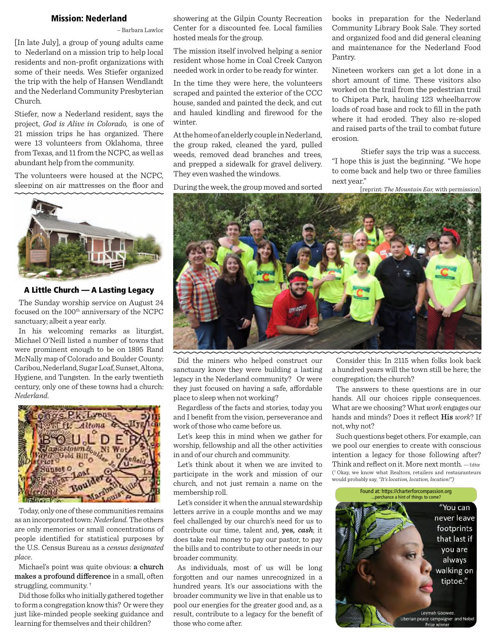#### Mission: Nederland

– Barbara Lawlor

[In late July], a group of young adults came to Nederland on a mission trip to help local residents and non-profit organizations with some of their needs. Wes Stiefer organized the trip with the help of Hansen Wendlandt and the Nederland Community Presbyterian Church.

Stiefer, now a Nederland resident, says the project, *God is Alive in Colorado,* is one of 21 mission trips he has organized. There were 13 volunteers from Oklahoma, three from Texas, and 11 from the NCPC, as well as abundant help from the community.

The volunteers were housed at the NCPC, sleeping on air mattresses on the floor and



A Little Church — A Lasting Legacy

The Sunday worship service on August 24 focused on the 100<sup>th</sup> anniversary of the NCPC sanctuary; albeit a year early.

In his welcoming remarks as liturgist, Michael O'Neill listed a number of towns that were prominent enough to be on 1895 Rand McNally map of Colorado and Boulder County: Caribou, Nederland, Sugar Loaf, Sunset, Altona, Hygiene, and Tungsten. In the early twentieth century, only one of these towns had a church: *Nederland*.



Today, only one of these communities remains as an incorporated town: *Nederland*. The others are only memories or small concentrations of people identified for statistical purposes by the U.S. Census Bureau as a *census designated place*.

Michael's point was quite obvious: a church makes a profound difference in a small, often struggling, community. †

Did those folks who initially gathered together to form a congregation know this? Or were they just like-minded people seeking guidance and learning for themselves and their children?

showering at the Gilpin County Recreation Center for a discounted fee. Local families hosted meals for the group.

The mission itself involved helping a senior resident whose home in Coal Creek Canyon needed work in order to be ready for winter.

In the time they were here, the volunteers scraped and painted the exterior of the CCC house, sanded and painted the deck, and cut and hauled kindling and firewood for the winter.

At the home of an elderly couple in Nederland, the group raked, cleaned the yard, pulled weeds, removed dead branches and trees, and prepped a sidewalk for gravel delivery. They even washed the windows.

During the week, the group moved and sorted

books in preparation for the Nederland Community Library Book Sale. They sorted and organized food and did general cleaning and maintenance for the Nederland Food Pantry.

Nineteen workers can get a lot done in a short amount of time. These visitors also worked on the trail from the pedestrian trail to Chipeta Park, hauling 123 wheelbarrow loads of road base and rock to fill in the path where it had eroded. They also re-sloped and raised parts of the trail to combat future erosion.

Stiefer says the trip was a success. "I hope this is just the beginning. "We hope to come back and help two or three families next year."

[reprint: *The Mountain Ear,* with permission]



Did the miners who helped construct our sanctuary know they were building a lasting legacy in the Nederland community? Or were they just focused on having a safe, affordable place to sleep when not working?

Regardless of the facts and stories, today you and I benefit from the vision, perseverance and work of those who came before us.

Let's keep this in mind when we gather for worship, fellowship and all the other activities in and of our church and community.

Let's think about it when we are invited to participate in the work and mission of our church, and not just remain a name on the membership roll.

Let's consider it when the annual stewardship letters arrive in a couple months and we may feel challenged by our church's need for us to contribute our time, talent and, yes, *cash*; it does take real money to pay our pastor, to pay the bills and to contribute to other needs in our broader community.

As individuals, most of us will be long forgotten and our names unrecognized in a hundred years. It's our associations with the broader community we live in that enable us to pool our energies for the greater good and, as a result, contribute to a legacy for the benefit of those who come after.

Consider this: In 2115 when folks look back a hundred years will the town still be here; the congregation; the church?

The answers to these questions are in our hands. All our choices ripple consequences. What are we choosing? What *work* engages our hands and minds? Does it reflect **His** work? If not, why not?

Such questions beget others. For example, can we pool our energies to create with conscious intention a legacy for those following after? Think and reflect on it. More next month. - Editor ( † Okay, we know what Realtors, retailers and restauranteurs would probably say,*"It's location, location, location!")*

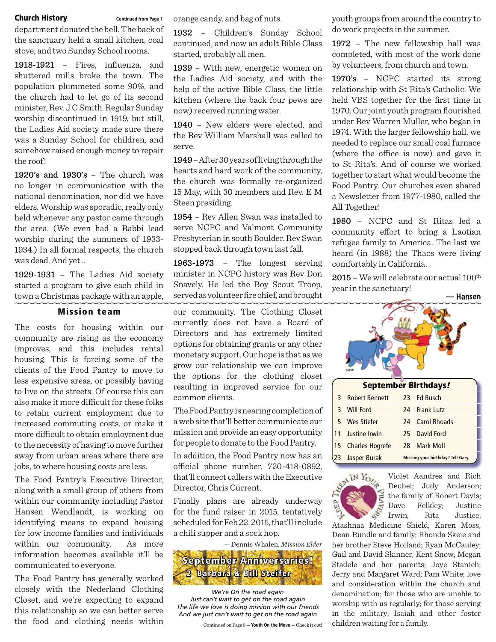#### Church History **Continued from Page 1**

department donated the bell. The back of the sanctuary held a small kitchen, coal stove, and two Sunday School rooms.

1918-1921 - Fires, influenza, and shuttered mills broke the town. The population plummeted some 90%, and the church had to let go of its second minister, Rev. J C Smith. Regular Sunday worship discontinued in 1919, but still, the Ladies Aid society made sure there was a Sunday School for children, and somehow raised enough money to repair the roof!

1920's and 1930's – The church was no longer in communication with the national denomination, nor did we have elders. Worship was sporadic, really only held whenever any pastor came through the area. (We even had a Rabbi lead worship during the summers of 1933- 1934.) In all formal respects, the church was dead. And yet…

1929-1931 – The Ladies Aid society started a program to give each child in town a Christmas package with an apple,

## Mission team

The costs for housing within our community are rising as the economy improves, and this includes rental housing. This is forcing some of the clients of the Food Pantry to move to less expensive areas, or possibly having to live on the streets. Of course this can also make it more difficult for these folks to retain current employment due to increased commuting costs, or make it more difficult to obtain employment due to the necessity of having to move further away from urban areas where there are jobs, to where housing costs are less.

The Food Pantry's Executive Director, along with a small group of others from within our community including Pastor Hansen Wendlandt, is working on identifying means to expand housing for low income families and individuals within our community. As more information becomes available it'll be communicated to everyone.

The Food Pantry has generally worked closely with the Nederland Clothing Closet, and we're expecting to expand this relationship so we can better serve the food and clothing needs within

orange candy, and bag of nuts.

1932 – Children's Sunday School continued, and now an adult Bible Class started, probably all men.

1939 – With new, energetic women on the Ladies Aid society, and with the help of the active Bible Class, the little kitchen (where the back four pews are now) received running water.

1940 – New elders were elected, and the Rev William Marshall was called to serve.

1949– After 30 yearsoflivingthroughthe hearts and hard work of the community, the church was formally re-organized 15 May, with 30 members and Rev. E M Steen presiding.

1954 – Rev Allen Swan was installed to serve NCPC and Valmont Community Presbyterian in south Boulder. Rev Swan stopped back through town last fall.

1963-1973 – The longest serving minister in NCPC history was Rev Don Snavely. He led the Boy Scout Troop, served as volunteer fire chief, and brought

our community. The Clothing Closet currently does not have a Board of Directors and has extremely limited options for obtaining grants or any other monetary support. Our hope is that as we grow our relationship we can improve the options for the clothing closet resulting in improved service for our common clients.

The Food Pantry is nearing completion of a web site that'll better communicate our mission and provide an easy opportunity for people to donate to the Food Pantry.

In addition, the Food Pantry now has an  $\alpha$ ) official phone number, 720-418-0892, that'll connect callers with the Executive Director, Chris Current.

Finally plans are already underway for the fund raiser in 2015, tentatively scheduled for Feb 22, 2015, that'll include a chili supper and a sock hop.

— Dennis Whalen, *Mission Elder*



*We're On the road again Just can't wait to get on the road again The life we love is doing mission with our friends And we just can't wait to get on the road again*

Continued on Page 5 — **Youth On the Move** — Check it out!

youth groups from around the country to do work projects in the summer.

1972 – The new fellowship hall was completed, with most of the work done by volunteers, from church and town.

1970's – NCPC started its strong relationship with St Rita's Catholic. We held VBS together for the first time in 1970. Our joint youth program flourished under Rev Warren Muller, who began in 1974. With the larger fellowship hall, we needed to replace our small coal furnace (where the office is now) and gave it to St Rita's. And of course we worked together to start what would become the Food Pantry. Our churches even shared a Newsletter from 1977-1980, called the All Together!

1980 – NCPC and St Ritas led a community effort to bring a Laotian refugee family to America. The last we heard (in 1988) the Thaos were living comfortably in California.

 $2015$  – We will celebrate our actual  $100<sup>th</sup>$ year in the sanctuary!

**— Hansen**





Violet Aandres and Rich Deubel; Judy Anderson; the family of Robert Davis; Dave Felkley; Justine Irwin; Rita Justice;

Atashnaa Medicine Shield; Karen Moss; Dean Rundle and family; Rhonda Skeie and her brother Steve Holland; Ryan McCauley; Gail and David Skinner; Kent Snow; Megan Stadele and her parents; Joye Stanich; Jerry and Margaret Ward; Pam White; love and consideration within the church and denomination; for those who are unable to worship with us regularly; for those serving in the military; Isaiah and other foster children waiting for a family.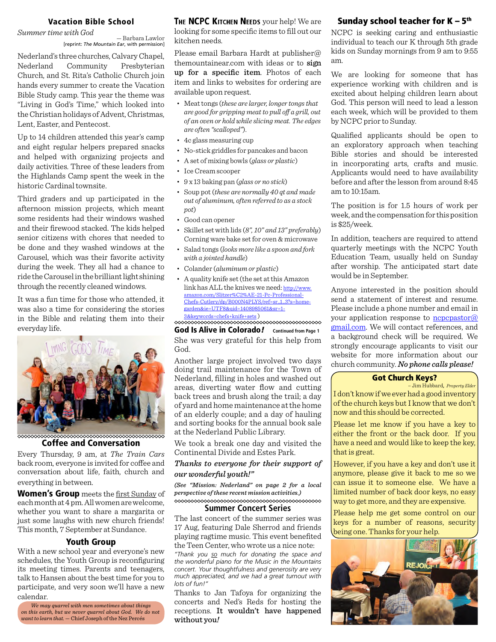## Vacation Bible School

*Summer time with God*

— Barbara Lawlor [reprint: *The Mountain Ear*, with permission]

Nederland's three churches, Calvary Chapel, Nederland Community Presbyterian Church, and St. Rita's Catholic Church join hands every summer to create the Vacation Bible Study camp. This year the theme was "Living in God's Time," which looked into the Christian holidays of Advent, Christmas, Lent, Easter, and Pentecost.

Up to 14 children attended this year's camp and eight regular helpers prepared snacks and helped with organizing projects and daily activities. Three of these leaders from the Highlands Camp spent the week in the historic Cardinal townsite.

Third graders and up participated in the afternoon mission projects, which meant some residents had their windows washed and their firewood stacked. The kids helped senior citizens with chores that needed to be done and they washed windows at the Carousel, which was their favorite activity during the week. They all had a chance to ride the Carousel in the brilliant light shining through the recently cleaned windows.

It was a fun time for those who attended, it was also a time for considering the stories in the Bible and relating them into their everyday life.



#### Coffee and Conversation

Every Thursday, 9 am, at *The Train Cars* back room, everyone is invited for coffee and conversation about life, faith, church and everything in between.

**Women's Group** meets the first Sunday of each month at 4 pm. All women are welcome, whether you want to share a margarita or just some laughs with new church friends! This month, 7 September at Sundance.

## Youth Group

With a new school year and everyone's new schedules, the Youth Group is reconfiguring its meeting times. Parents and teenagers, talk to Hansen about the best time for you to participate, and very soon we'll have a new calendar.

*We may quarrel with men sometimes about things on this earth, but we never quarrel about God. We do not want to learn that. —* Chief Joseph of the Nez Percés

THE NCPC KITCHEN NEEDS your help! We are looking for some specific items to fill out our kitchen needs.

Please email Barbara Hardt at publisher@ themountainear.com with ideas or to sign up for a specific item. Photos of each item and links to websites for ordering are available upon request.

- Meat tongs (*these are larger, longer tongs that*  $\int$ *are good for gripping meat to pull off a grill, out of an oven or hold while slicing meat. The edges are often "scalloped"*).
- 4c glass measuring cup
- No-stick griddles for pancakes and bacon
- A set of mixing bowls (*glass or plastic*)
- Ice Cream scooper
- 9 x 13 baking pan (*glass or no stick*)
- Soup pot (*these are normally 40 qt and made out of aluminum, often referred to as a stock pot*)
- Good can opener
- Skillet set with lids (*8", 10" and 13" preferably*) Corning ware bake set for oven & microwave
- Salad tongs (*looks more like a spoon and fork with a jointed handle*)
- Colander (*aluminum or plastic*)
- A quality knife set (the set at this Amazon link has ALL the knives we need: http://www. amazon.com/Slitzer%C2%AE-21-Pc-Professional-Chefs-Cutlery/dp/B000N4PLYS/ref=sr\_1\_3?s=homegarden&ie=UTF8&qid=1408985061&sr=1- 3&keywords=chefs+knife+sets )

She was very grateful for this help from God. God Is Alive in Colorado*!* **Continued from Page 1**

Another large project involved two days doing trail maintenance for the Town of Nederland, filling in holes and washed out areas, diverting water flow and cutting back trees and brush along the trail; a day of yard and home maintenance at the home of an elderly couple; and a day of hauling and sorting books for the annual book sale at the Nederland Public Library.

We took a break one day and visited the Continental Divide and Estes Park.

#### *Thanks to everyone for their support of our wonderful youth!"*

*(See "Mission: Nederland" on page 2 for a local perspective of these recent mission activities.)* 

## **Summer Concert Series**

The last concert of the summer series was 17 Aug, featuring Dale Sherrod and friends playing ragtime music. This event benefited the Teen Center, who wrote us a nice note:

*"Thank you so much for donating the space and the wonderful piano for the Music in the Mountains concert. Your thoughtfulness and generosity are very much appreciated, and we had a great turnout with lots of fun!"*

Thanks to Jan Tafoya for organizing the concerts and Ned's Reds for hosting the receptions. It wouldn't have happened without you*!*

## Sunday school teacher for  $K - 5<sup>th</sup>$

NCPC is seeking caring and enthusiastic individual to teach our K through 5th grade kids on Sunday mornings from 9 am to 9:55 am.

We are looking for someone that has experience working with children and is excited about helping children learn about God. This person will need to lead a lesson each week, which will be provided to them by NCPC prior to Sunday.

Qualified applicants should be open to an exploratory approach when teaching Bible stories and should be interested in incorporating arts, crafts and music. Applicants would need to have availability before and after the lesson from around 8:45 am to 10:15am.

The position is for 1.5 hours of work per week, and the compensation for this position is \$25/week.

In addition, teachers are required to attend quarterly meetings with the NCPC Youth Education Team, usually held on Sunday after worship. The anticipated start date would be in September.

Anyone interested in the position should send a statement of interest and resume. Please include a phone number and email in your application response to  $nce$ <sub>p</sub>cpastor $@$ gmail.com. We will contact references, and a background check will be required. We strongly encourage applicants to visit our website for more information about our church community. *No phone calls please!*

#### Got Church Keys?

I don't know if we ever had a good inventory of the church keys but I know that we don't now and this should be corrected. – Jim Hubbard, *Property Elder*

Please let me know if you have a key to either the front or the back door. If you have a need and would like to keep the key, that is great.

However, if you have a key and don't use it anymore, please give it back to me so we can issue it to someone else. We have a limited number of back door keys, no easy way to get more, and they are expensive.

Please help me get some control on our keys for a number of reasons, security being one. Thanks for your help.